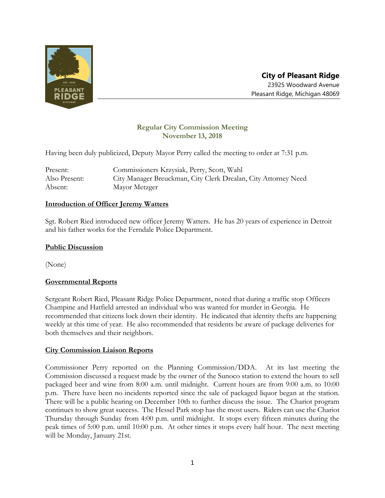

# **Regular City Commission Meeting November 13, 2018**

Having been duly publicized, Deputy Mayor Perry called the meeting to order at 7:31 p.m.

| Present:      | Commissioners Krzysiak, Perry, Scott, Wahl                     |
|---------------|----------------------------------------------------------------|
| Also Present: | City Manager Breuckman, City Clerk Drealan, City Attorney Need |
| Absent:       | Mayor Metzger                                                  |

### **Introduction of Officer Jeremy Watters**

Sgt. Robert Ried introduced new officer Jeremy Watters. He has 20 years of experience in Detroit and his father works for the Ferndale Police Department.

## **Public Discussion**

(None)

# **Governmental Reports**

Sergeant Robert Ried, Pleasant Ridge Police Department, noted that during a traffic stop Officers Champine and Hatfield arrested an individual who was wanted for murder in Georgia. He recommended that citizens lock down their identity. He indicated that identity thefts are happening weekly at this time of year. He also recommended that residents be aware of package deliveries for both themselves and their neighbors.

### **City Commission Liaison Reports**

Commissioner Perry reported on the Planning Commission/DDA. At its last meeting the Commission discussed a request made by the owner of the Sunoco station to extend the hours to sell packaged beer and wine from 8:00 a.m. until midnight. Current hours are from 9:00 a.m. to 10:00 p.m. There have been no incidents reported since the sale of packaged liquor began at the station. There will be a public hearing on December 10th to further discuss the issue. The Chariot program continues to show great success. The Hessel Park stop has the most users. Riders can use the Chariot Thursday through Sunday from 4:00 p.m. until midnight. It stops every fifteen minutes during the peak times of 5:00 p.m. until 10:00 p.m. At other times it stops every half hour. The next meeting will be Monday, January 21st.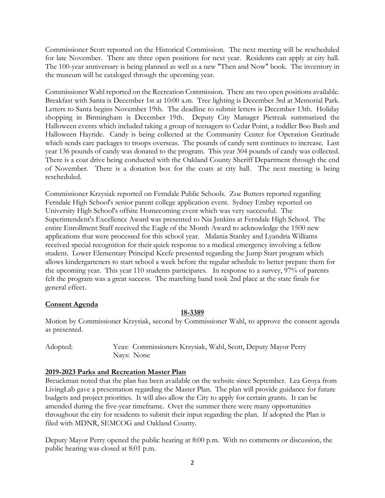Commissioner Scott reported on the Historical Commission. The next meeting will be rescheduled for late November. There are three open positions for next year. Residents can apply at city hall. The 100-year anniversary is being planned as well as a new "Then and Now" book. The inventory in the museum will be cataloged through the upcoming year.

Commissioner Wahl reported on the Recreation Commission. There are two open positions available. Breakfast with Santa is December 1st at 10:00 a.m. Tree lighting is December 3rd at Memorial Park. Letters to Santa begins November 19th. The deadline to submit letters is December 13th. Holiday shopping in Birmingham is December 19th. Deputy City Manager Pietrzak summarized the Halloween events which included taking a group of teenagers to Cedar Point, a toddler Boo Bash and Halloween Hayride. Candy is being collected at the Community Center for Operation Gratitude which sends care packages to troops overseas. The pounds of candy sent continues to increase. Last year 136 pounds of candy was donated to the program. This year 304 pounds of candy was collected. There is a coat drive being conducted with the Oakland County Sheriff Department through the end of November. There is a donation box for the coats at city hall. The next meeting is being rescheduled.

Commissioner Krzysiak reported on Ferndale Public Schools. Zoe Butters reported regarding Ferndale High School's senior parent college application event. Sydney Embry reported on University High School's offsite Homecoming event which was very successful. The Superintendent's Excellence Award was presented to Nia Jenkins at Ferndale High School. The entire Enrollment Staff received the Eagle of the Month Award to acknowledge the 1500 new applications that were processed for this school year. Malania Stanley and Lyandria Williams received special recognition for their quick response to a medical emergency involving a fellow student. Lower Elementary Principal Keefe presented regarding the Jump Start program which allows kindergarteners to start school a week before the regular schedule to better prepare them for the upcoming year. This year 110 students participates. In response to a survey, 97% of parents felt the program was a great success. The marching band took 2nd place at the state finals for general effect.

### **Consent Agenda**

### **18-3389**

Motion by Commissioner Krzysiak, second by Commissioner Wahl, to approve the consent agenda as presented.

Adopted: Yeas: Commissioners Krzysiak, Wahl, Scott, Deputy Mayor Perry Nays: None

### **2019-2023 Parks and Recreation Master Plan**

Breuckman noted that the plan has been available on the website since September. Lea Groya from LivingLab gave a presentation regarding the Master Plan. The plan will provide guidance for future budgets and project priorities. It will also allow the City to apply for certain grants. It can be amended during the five-year timeframe. Over the summer there were many opportunities throughout the city for residents to submit their input regarding the plan. If adopted the Plan is filed with MDNR, SEMCOG and Oakland County.

Deputy Mayor Perry opened the public hearing at 8:00 p.m. With no comments or discussion, the public hearing was closed at 8:01 p.m.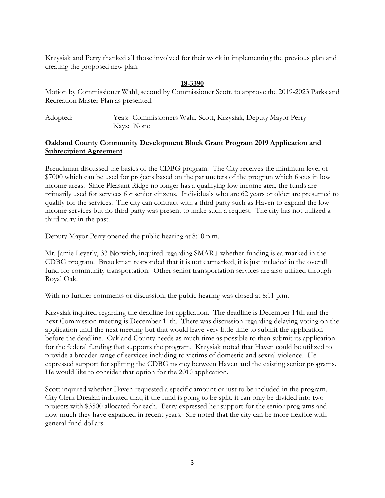Krzysiak and Perry thanked all those involved for their work in implementing the previous plan and creating the proposed new plan.

#### **18-3390**

Motion by Commissioner Wahl, second by Commissioner Scott, to approve the 2019-2023 Parks and Recreation Master Plan as presented.

Adopted: Yeas: Commissioners Wahl, Scott, Krzysiak, Deputy Mayor Perry Nays: None

### **Oakland County Community Development Block Grant Program 2019 Application and Subrecipient Agreement**

Breuckman discussed the basics of the CDBG program. The City receives the minimum level of \$7000 which can be used for projects based on the parameters of the program which focus in low income areas. Since Pleasant Ridge no longer has a qualifying low income area, the funds are primarily used for services for senior citizens. Individuals who are 62 years or older are presumed to qualify for the services. The city can contract with a third party such as Haven to expand the low income services but no third party was present to make such a request. The city has not utilized a third party in the past.

Deputy Mayor Perry opened the public hearing at 8:10 p.m.

Mr. Jamie Leyerly, 33 Norwich, inquired regarding SMART whether funding is earmarked in the CDBG program. Breuckman responded that it is not earmarked, it is just included in the overall fund for community transportation. Other senior transportation services are also utilized through Royal Oak.

With no further comments or discussion, the public hearing was closed at 8:11 p.m.

Krzysiak inquired regarding the deadline for application. The deadline is December 14th and the next Commission meeting is December 11th. There was discussion regarding delaying voting on the application until the next meeting but that would leave very little time to submit the application before the deadline. Oakland County needs as much time as possible to then submit its application for the federal funding that supports the program. Krzysiak noted that Haven could be utilized to provide a broader range of services including to victims of domestic and sexual violence. He expressed support for splitting the CDBG money between Haven and the existing senior programs. He would like to consider that option for the 2010 application.

Scott inquired whether Haven requested a specific amount or just to be included in the program. City Clerk Drealan indicated that, if the fund is going to be split, it can only be divided into two projects with \$3500 allocated for each. Perry expressed her support for the senior programs and how much they have expanded in recent years. She noted that the city can be more flexible with general fund dollars.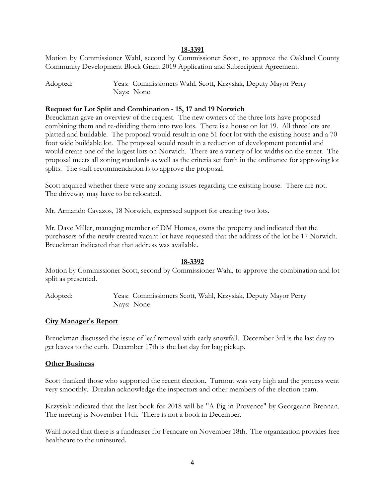#### **18-3391**

Motion by Commissioner Wahl, second by Commissioner Scott, to approve the Oakland County Community Development Block Grant 2019 Application and Subrecipient Agreement.

Adopted: Yeas: Commissioners Wahl, Scott, Krzysiak, Deputy Mayor Perry Nays: None

#### **Request for Lot Split and Combination - 15, 17 and 19 Norwich**

Breuckman gave an overview of the request. The new owners of the three lots have proposed combining them and re-dividing them into two lots. There is a house on lot 19. All three lots are platted and buildable. The proposal would result in one 51 foot lot with the existing house and a 70 foot wide buildable lot. The proposal would result in a reduction of development potential and would create one of the largest lots on Norwich. There are a variety of lot widths on the street. The proposal meets all zoning standards as well as the criteria set forth in the ordinance for approving lot splits. The staff recommendation is to approve the proposal.

Scott inquired whether there were any zoning issues regarding the existing house. There are not. The driveway may have to be relocated.

Mr. Armando Cavazos, 18 Norwich, expressed support for creating two lots.

Mr. Dave Miller, managing member of DM Homes, owns the property and indicated that the purchasers of the newly created vacant lot have requested that the address of the lot be 17 Norwich. Breuckman indicated that that address was available.

#### **18-3392**

Motion by Commissioner Scott, second by Commissioner Wahl, to approve the combination and lot split as presented.

Adopted: Yeas: Commissioners Scott, Wahl, Krzysiak, Deputy Mayor Perry Nays: None

#### **City Manager's Report**

Breuckman discussed the issue of leaf removal with early snowfall. December 3rd is the last day to get leaves to the curb. December 17th is the last day for bag pickup.

#### **Other Business**

Scott thanked those who supported the recent election. Turnout was very high and the process went very smoothly. Drealan acknowledge the inspectors and other members of the election team.

Krzysiak indicated that the last book for 2018 will be "A Pig in Provence" by Georgeann Brennan. The meeting is November 14th. There is not a book in December.

Wahl noted that there is a fundraiser for Ferncare on November 18th. The organization provides free healthcare to the uninsured.